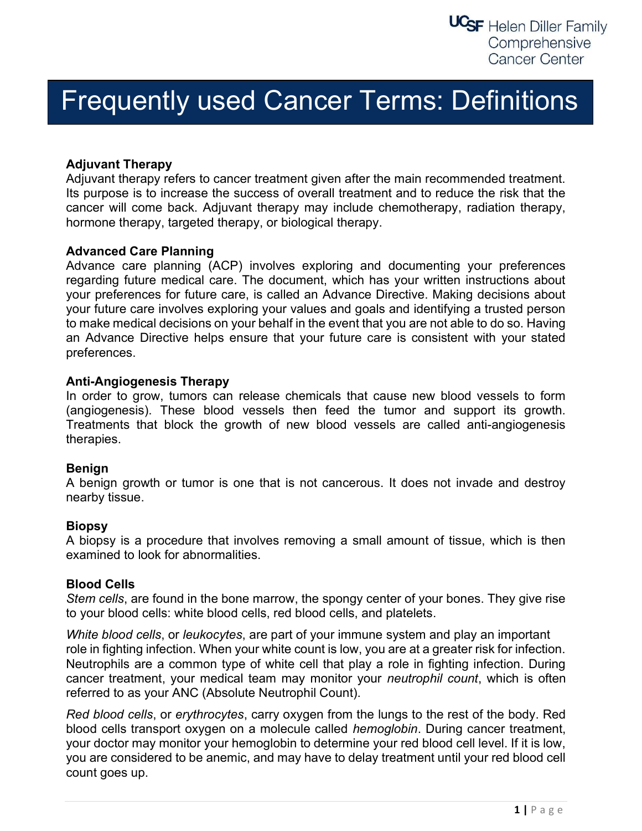# Frequently used Cancer Terms: Definitions

# Adjuvant Therapy

Adjuvant therapy refers to cancer treatment given after the main recommended treatment. Its purpose is to increase the success of overall treatment and to reduce the risk that the cancer will come back. Adjuvant therapy may include chemotherapy, radiation therapy, hormone therapy, targeted therapy, or biological therapy.

## Advanced Care Planning

Advance care planning (ACP) involves exploring and documenting your preferences regarding future medical care. The document, which has your written instructions about your preferences for future care, is called an Advance Directive. Making decisions about your future care involves exploring your values and goals and identifying a trusted person to make medical decisions on your behalf in the event that you are not able to do so. Having an Advance Directive helps ensure that your future care is consistent with your stated preferences.

## Anti-Angiogenesis Therapy

In order to grow, tumors can release chemicals that cause new blood vessels to form (angiogenesis). These blood vessels then feed the tumor and support its growth. Treatments that block the growth of new blood vessels are called anti-angiogenesis therapies.

## Benign

A benign growth or tumor is one that is not cancerous. It does not invade and destroy nearby tissue.

## **Biopsy**

A biopsy is a procedure that involves removing a small amount of tissue, which is then examined to look for abnormalities.

## Blood Cells

Stem cells, are found in the bone marrow, the spongy center of your bones. They give rise to your blood cells: white blood cells, red blood cells, and platelets.

White blood cells, or leukocytes, are part of your immune system and play an important role in fighting infection. When your white count is low, you are at a greater risk for infection. Neutrophils are a common type of white cell that play a role in fighting infection. During cancer treatment, your medical team may monitor your neutrophil count, which is often referred to as your ANC (Absolute Neutrophil Count).

Red blood cells, or erythrocytes, carry oxygen from the lungs to the rest of the body. Red blood cells transport oxygen on a molecule called hemoglobin. During cancer treatment, your doctor may monitor your hemoglobin to determine your red blood cell level. If it is low, you are considered to be anemic, and may have to delay treatment until your red blood cell count goes up.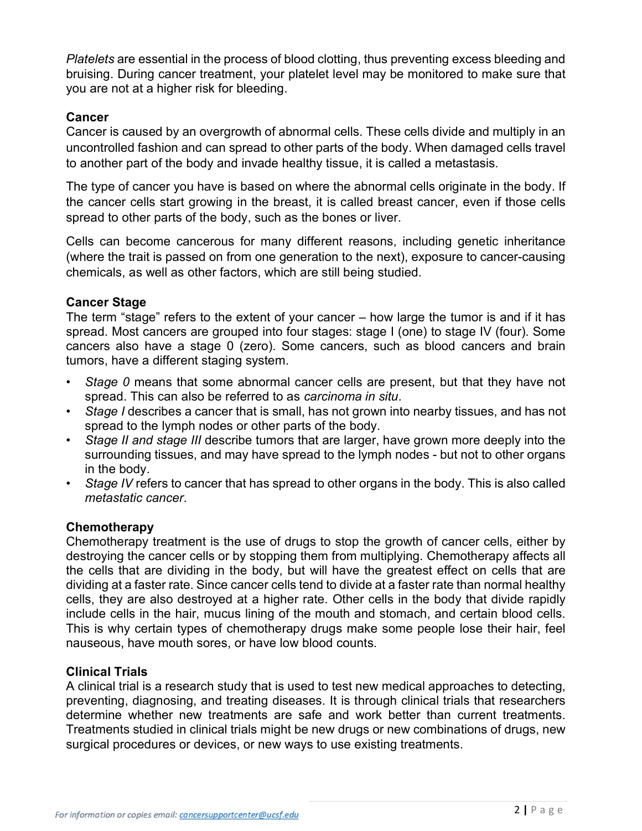Platelets are essential in the process of blood clotting, thus preventing excess bleeding and bruising. During cancer treatment, your platelet level may be monitored to make sure that you are not at a higher risk for bleeding.

# Cancer

Cancer is caused by an overgrowth of abnormal cells. These cells divide and multiply in an uncontrolled fashion and can spread to other parts of the body. When damaged cells travel to another part of the body and invade healthy tissue, it is called a metastasis.

The type of cancer you have is based on where the abnormal cells originate in the body. If the cancer cells start growing in the breast, it is called breast cancer, even if those cells spread to other parts of the body, such as the bones or liver.

Cells can become cancerous for many different reasons, including genetic inheritance (where the trait is passed on from one generation to the next), exposure to cancer-causing chemicals, as well as other factors, which are still being studied.

## Cancer Stage

The term "stage" refers to the extent of your cancer – how large the tumor is and if it has spread. Most cancers are grouped into four stages: stage I (one) to stage IV (four). Some cancers also have a stage 0 (zero). Some cancers, such as blood cancers and brain tumors, have a different staging system.

- Stage 0 means that some abnormal cancer cells are present, but that they have not spread. This can also be referred to as carcinoma in situ.
- Stage I describes a cancer that is small, has not grown into nearby tissues, and has not spread to the lymph nodes or other parts of the body.
- Stage II and stage III describe tumors that are larger, have grown more deeply into the surrounding tissues, and may have spread to the lymph nodes - but not to other organs in the body.
- Stage IV refers to cancer that has spread to other organs in the body. This is also called metastatic cancer.

## **Chemotherapy**

Chemotherapy treatment is the use of drugs to stop the growth of cancer cells, either by destroying the cancer cells or by stopping them from multiplying. Chemotherapy affects all the cells that are dividing in the body, but will have the greatest effect on cells that are dividing at a faster rate. Since cancer cells tend to divide at a faster rate than normal healthy cells, they are also destroyed at a higher rate. Other cells in the body that divide rapidly include cells in the hair, mucus lining of the mouth and stomach, and certain blood cells. This is why certain types of chemotherapy drugs make some people lose their hair, feel nauseous, have mouth sores, or have low blood counts.

# Clinical Trials

A clinical trial is a research study that is used to test new medical approaches to detecting, preventing, diagnosing, and treating diseases. It is through clinical trials that researchers determine whether new treatments are safe and work better than current treatments. Treatments studied in clinical trials might be new drugs or new combinations of drugs, new surgical procedures or devices, or new ways to use existing treatments.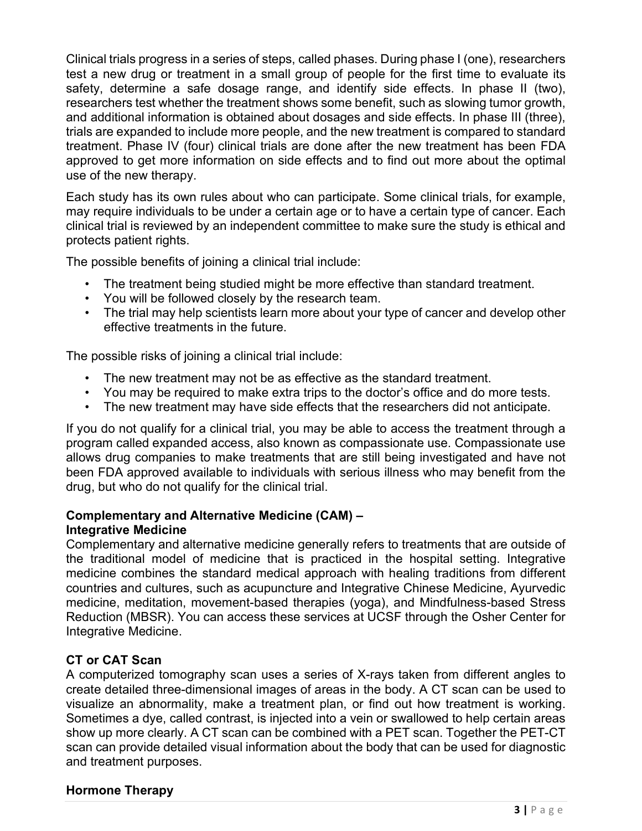Clinical trials progress in a series of steps, called phases. During phase I (one), researchers test a new drug or treatment in a small group of people for the first time to evaluate its safety, determine a safe dosage range, and identify side effects. In phase II (two), researchers test whether the treatment shows some benefit, such as slowing tumor growth, and additional information is obtained about dosages and side effects. In phase III (three), trials are expanded to include more people, and the new treatment is compared to standard treatment. Phase IV (four) clinical trials are done after the new treatment has been FDA approved to get more information on side effects and to find out more about the optimal use of the new therapy.

Each study has its own rules about who can participate. Some clinical trials, for example, may require individuals to be under a certain age or to have a certain type of cancer. Each clinical trial is reviewed by an independent committee to make sure the study is ethical and protects patient rights.

The possible benefits of joining a clinical trial include:

- The treatment being studied might be more effective than standard treatment.
- You will be followed closely by the research team.
- The trial may help scientists learn more about your type of cancer and develop other effective treatments in the future.

The possible risks of joining a clinical trial include:

- The new treatment may not be as effective as the standard treatment.
- You may be required to make extra trips to the doctor's office and do more tests.
- The new treatment may have side effects that the researchers did not anticipate.

If you do not qualify for a clinical trial, you may be able to access the treatment through a program called expanded access, also known as compassionate use. Compassionate use allows drug companies to make treatments that are still being investigated and have not been FDA approved available to individuals with serious illness who may benefit from the drug, but who do not qualify for the clinical trial.

#### Complementary and Alternative Medicine (CAM) – Integrative Medicine

Complementary and alternative medicine generally refers to treatments that are outside of the traditional model of medicine that is practiced in the hospital setting. Integrative medicine combines the standard medical approach with healing traditions from different countries and cultures, such as acupuncture and Integrative Chinese Medicine, Ayurvedic medicine, meditation, movement-based therapies (yoga), and Mindfulness-based Stress Reduction (MBSR). You can access these services at UCSF through the Osher Center for Integrative Medicine.

## CT or CAT Scan

A computerized tomography scan uses a series of X-rays taken from different angles to create detailed three-dimensional images of areas in the body. A CT scan can be used to visualize an abnormality, make a treatment plan, or find out how treatment is working. Sometimes a dye, called contrast, is injected into a vein or swallowed to help certain areas show up more clearly. A CT scan can be combined with a PET scan. Together the PET-CT scan can provide detailed visual information about the body that can be used for diagnostic and treatment purposes.

## Hormone Therapy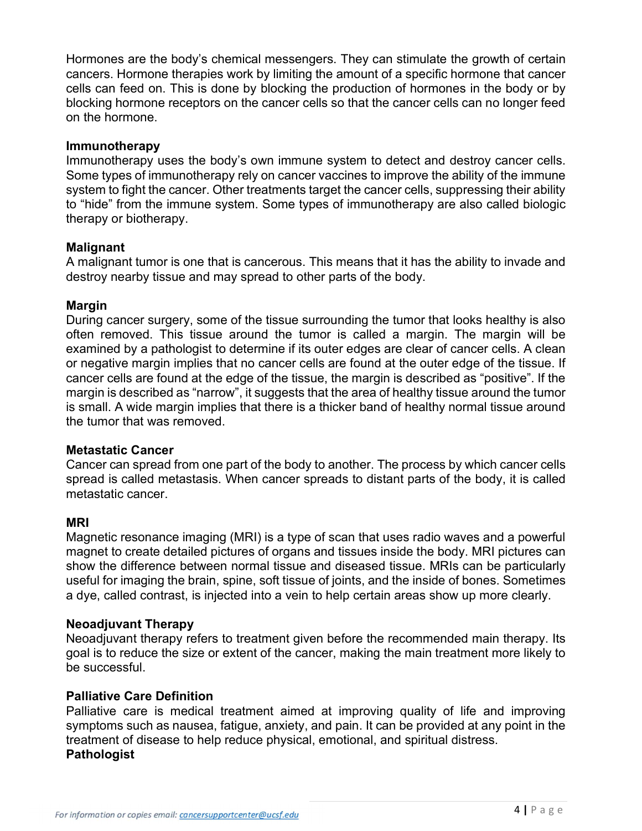Hormones are the body's chemical messengers. They can stimulate the growth of certain cancers. Hormone therapies work by limiting the amount of a specific hormone that cancer cells can feed on. This is done by blocking the production of hormones in the body or by blocking hormone receptors on the cancer cells so that the cancer cells can no longer feed on the hormone.

### Immunotherapy

Immunotherapy uses the body's own immune system to detect and destroy cancer cells. Some types of immunotherapy rely on cancer vaccines to improve the ability of the immune system to fight the cancer. Other treatments target the cancer cells, suppressing their ability to "hide" from the immune system. Some types of immunotherapy are also called biologic therapy or biotherapy.

## Malignant

A malignant tumor is one that is cancerous. This means that it has the ability to invade and destroy nearby tissue and may spread to other parts of the body.

## Margin

During cancer surgery, some of the tissue surrounding the tumor that looks healthy is also often removed. This tissue around the tumor is called a margin. The margin will be examined by a pathologist to determine if its outer edges are clear of cancer cells. A clean or negative margin implies that no cancer cells are found at the outer edge of the tissue. If cancer cells are found at the edge of the tissue, the margin is described as "positive". If the margin is described as "narrow", it suggests that the area of healthy tissue around the tumor is small. A wide margin implies that there is a thicker band of healthy normal tissue around the tumor that was removed.

#### Metastatic Cancer

Cancer can spread from one part of the body to another. The process by which cancer cells spread is called metastasis. When cancer spreads to distant parts of the body, it is called metastatic cancer.

#### MRI

Magnetic resonance imaging (MRI) is a type of scan that uses radio waves and a powerful magnet to create detailed pictures of organs and tissues inside the body. MRI pictures can show the difference between normal tissue and diseased tissue. MRIs can be particularly useful for imaging the brain, spine, soft tissue of joints, and the inside of bones. Sometimes a dye, called contrast, is injected into a vein to help certain areas show up more clearly.

#### Neoadjuvant Therapy

Neoadjuvant therapy refers to treatment given before the recommended main therapy. Its goal is to reduce the size or extent of the cancer, making the main treatment more likely to be successful.

## Palliative Care Definition

Palliative care is medical treatment aimed at improving quality of life and improving symptoms such as nausea, fatigue, anxiety, and pain. It can be provided at any point in the treatment of disease to help reduce physical, emotional, and spiritual distress. **Pathologist**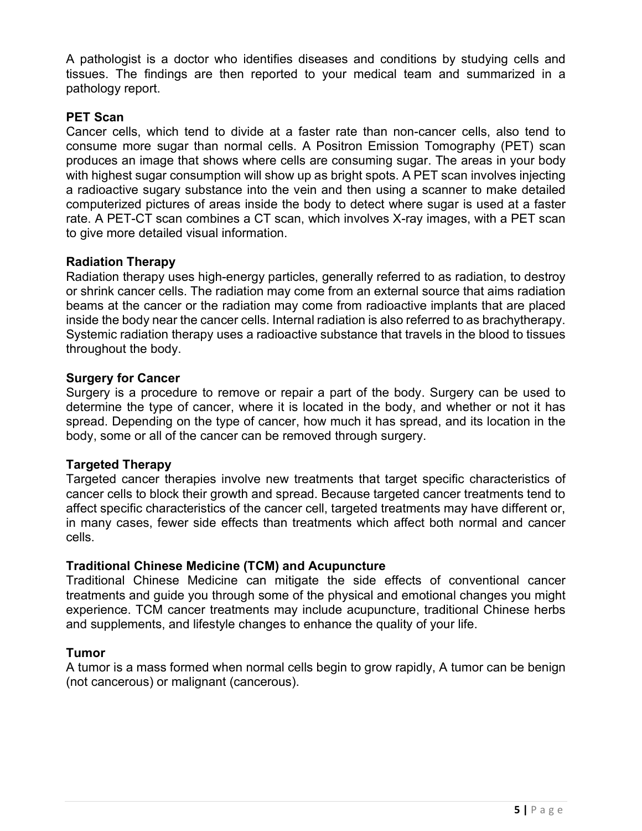A pathologist is a doctor who identifies diseases and conditions by studying cells and tissues. The findings are then reported to your medical team and summarized in a pathology report.

# PET Scan

Cancer cells, which tend to divide at a faster rate than non-cancer cells, also tend to consume more sugar than normal cells. A Positron Emission Tomography (PET) scan produces an image that shows where cells are consuming sugar. The areas in your body with highest sugar consumption will show up as bright spots. A PET scan involves injecting a radioactive sugary substance into the vein and then using a scanner to make detailed computerized pictures of areas inside the body to detect where sugar is used at a faster rate. A PET-CT scan combines a CT scan, which involves X-ray images, with a PET scan to give more detailed visual information.

## Radiation Therapy

Radiation therapy uses high-energy particles, generally referred to as radiation, to destroy or shrink cancer cells. The radiation may come from an external source that aims radiation beams at the cancer or the radiation may come from radioactive implants that are placed inside the body near the cancer cells. Internal radiation is also referred to as brachytherapy. Systemic radiation therapy uses a radioactive substance that travels in the blood to tissues throughout the body.

## Surgery for Cancer

Surgery is a procedure to remove or repair a part of the body. Surgery can be used to determine the type of cancer, where it is located in the body, and whether or not it has spread. Depending on the type of cancer, how much it has spread, and its location in the body, some or all of the cancer can be removed through surgery.

## Targeted Therapy

Targeted cancer therapies involve new treatments that target specific characteristics of cancer cells to block their growth and spread. Because targeted cancer treatments tend to affect specific characteristics of the cancer cell, targeted treatments may have different or, in many cases, fewer side effects than treatments which affect both normal and cancer cells.

## Traditional Chinese Medicine (TCM) and Acupuncture

Traditional Chinese Medicine can mitigate the side effects of conventional cancer treatments and guide you through some of the physical and emotional changes you might experience. TCM cancer treatments may include acupuncture, traditional Chinese herbs and supplements, and lifestyle changes to enhance the quality of your life.

## Tumor

A tumor is a mass formed when normal cells begin to grow rapidly, A tumor can be benign (not cancerous) or malignant (cancerous).